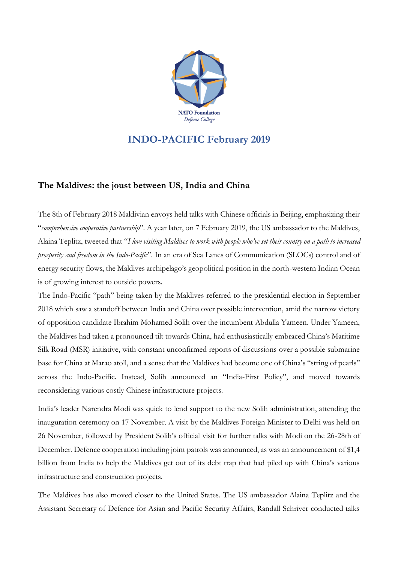

## **INDO-PACIFIC February 2019**

## **The Maldives: the joust between US, India and China**

The 8th of February 2018 Maldivian envoys held talks with Chinese officials in Beijing, emphasizing their "*comprehensive cooperative partnership*". A year later, on 7 February 2019, the US ambassador to the Maldives, Alaina Teplitz, tweeted that "I love visiting Maldives to work with people who've set their country on a path to increased *prosperity and freedom in the Indo-Pacific*". In an era of Sea Lanes of Communication (SLOCs) control and of energy security flows, the Maldives archipelago's geopolitical position in the north-western Indian Ocean is of growing interest to outside powers.

The Indo-Pacific "path" being taken by the Maldives referred to the presidential election in September 2018 which saw a standoff between India and China over possible intervention, amid the narrow victory of opposition candidate Ibrahim Mohamed Solih over the incumbent Abdulla Yameen. Under Yameen, the Maldives had taken a pronounced tilt towards China, had enthusiastically embraced China's Maritime Silk Road (MSR) initiative, with constant unconfirmed reports of discussions over a possible submarine base for China at Marao atoll, and a sense that the Maldives had become one of China's "string of pearls" across the Indo-Pacific. Instead, Solih announced an "India-First Policy", and moved towards reconsidering various costly Chinese infrastructure projects.

India's leader Narendra Modi was quick to lend support to the new Solih administration, attending the inauguration ceremony on 17 November. A visit by the Maldives Foreign Minister to Delhi was held on 26 November, followed by President Solih's official visit for further talks with Modi on the 26-28th of December. Defence cooperation including joint patrols was announced, as was an announcement of \$1,4 billion from India to help the Maldives get out of its debt trap that had piled up with China's various infrastructure and construction projects.

The Maldives has also moved closer to the United States. The US ambassador Alaina Teplitz and the Assistant Secretary of Defence for Asian and Pacific Security Affairs, Randall Schriver conducted talks